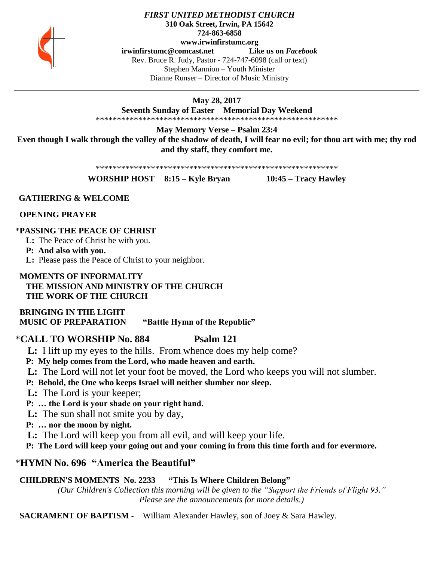

## *FIRST UNITED METHODIST CHURCH* **310 Oak Street, Irwin, PA 15642 724-863-6858 www.irwinfirstumc.org**

**[irwinfirstumc@comcast.net](mailto:irwinfirstumc@comcast.net) Like us on** *Facebook* Rev. Bruce R. Judy, Pastor - 724-747-6098 (call or text) Stephen Mannion – Youth Minister Dianne Runser – Director of Music Ministry

**May 28, 2017**

**Seventh Sunday of Easter Memorial Day Weekend**

\*\*\*\*\*\*\*\*\*\*\*\*\*\*\*\*\*\*\*\*\*\*\*\*\*\*\*\*\*\*\*\*\*\*\*\*\*\*\*\*\*\*\*\*\*\*\*\*\*\*\*\*\*\*\*\*\*

**May Memory Verse – Psalm 23:4 Even though I walk through the valley of the shadow of death, I will fear no evil; for thou art with me; thy rod and thy staff, they comfort me.**

\*\*\*\*\*\*\*\*\*\*\*\*\*\*\*\*\*\*\*\*\*\*\*\*\*\*\*\*\*\*\*\*\*\*\*\*\*\*\*\*\*\*\*\*\*\*\*\*\*\*\*\*\*\*\*\*\*

**WORSHIP HOST 8:15 – Kyle Bryan 10:45 – Tracy Hawley**

## **GATHERING & WELCOME**

 **OPENING PRAYER**

## \***PASSING THE PEACE OF CHRIST**

**L:** The Peace of Christ be with you.

**P: And also with you.**

**L:** Please pass the Peace of Christ to your neighbor.

## **MOMENTS OF INFORMALITY THE MISSION AND MINISTRY OF THE CHURCH THE WORK OF THE CHURCH**

 **BRINGING IN THE LIGHT MUSIC OF PREPARATION "Battle Hymn of the Republic"**

## \***CALL TO WORSHIP No. 884 Psalm 121**

 **L:** I lift up my eyes to the hills. From whence does my help come?

 **P: My help comes from the Lord, who made heaven and earth.**

 **L:** The Lord will not let your foot be moved, the Lord who keeps you will not slumber.

 **P: Behold, the One who keeps Israel will neither slumber nor sleep.**

 **L:** The Lord is your keeper;

 **P: … the Lord is your shade on your right hand.**

 **L:** The sun shall not smite you by day,

 **P: … nor the moon by night.**

 **L:** The Lord will keep you from all evil, and will keep your life.

 **P: The Lord will keep your going out and your coming in from this time forth and for evermore.**

# \***HYMN No. 696 "America the Beautiful"**

# **CHILDREN'S MOMENTS No. 2233 "This Is Where Children Belong"**

*(Our Children's Collection this morning will be given to the "Support the Friends of Flight 93." Please see the announcements for more details.)*

 **SACRAMENT OF BAPTISM -** William Alexander Hawley, son of Joey & Sara Hawley.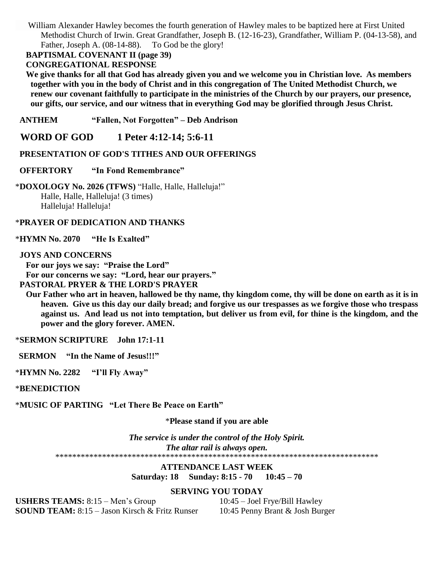William Alexander Hawley becomes the fourth generation of Hawley males to be baptized here at First United Methodist Church of Irwin. Great Grandfather, Joseph B. (12-16-23), Grandfather, William P. (04-13-58), and Father, Joseph A. (08-14-88). To God be the glory!

 **BAPTISMAL COVENANT II (page 39)**

#### **CONGREGATIONAL RESPONSE**

 **We give thanks for all that God has already given you and we welcome you in Christian love. As members together with you in the body of Christ and in this congregation of The United Methodist Church, we renew our covenant faithfully to participate in the ministries of the Church by our prayers, our presence, our gifts, our service, and our witness that in everything God may be glorified through Jesus Christ.**

 **ANTHEM "Fallen, Not Forgotten" – Deb Andrison**

 **WORD OF GOD 1 Peter 4:12-14; 5:6-11**

## **PRESENTATION OF GOD'S TITHES AND OUR OFFERINGS**

#### **OFFERTORY "In Fond Remembrance"**

\***DOXOLOGY No. 2026 (TFWS)** "Halle, Halle, Halleluja!" Halle, Halle, Halleluja! (3 times) Halleluja! Halleluja!

### \***PRAYER OF DEDICATION AND THANKS**

\***HYMN No. 2070 "He Is Exalted"**

#### **JOYS AND CONCERNS**

 **For our joys we say: "Praise the Lord"**

 **For our concerns we say: "Lord, hear our prayers."**

## **PASTORAL PRYER & THE LORD'S PRAYER**

 **Our Father who art in heaven, hallowed be thy name, thy kingdom come, thy will be done on earth as it is in heaven. Give us this day our daily bread; and forgive us our trespasses as we forgive those who trespass against us. And lead us not into temptation, but deliver us from evil, for thine is the kingdom, and the power and the glory forever. AMEN.**

\***SERMON SCRIPTURE John 17:1-11**

 **SERMON "In the Name of Jesus!!!"**

\***HYMN No. 2282 "I'll Fly Away"**

\***BENEDICTION**

\***MUSIC OF PARTING "Let There Be Peace on Earth"**

### \***Please stand if you are able**

*The service is under the control of the Holy Spirit. The altar rail is always open.* \*\*\*\*\*\*\*\*\*\*\*\*\*\*\*\*\*\*\*\*\*\*\*\*\*\*\*\*\*\*\*\*\*\*\*\*\*\*\*\*\*\*\*\*\*\*\*\*\*\*\*\*\*\*\*\*\*\*\*\*\*\*\*\*\*\*\*\*\*\*\*\*\*\*\*\*

## **ATTENDANCE LAST WEEK Saturday: 18 Sunday: 8:15 - 70 10:45 – 70**

## **SERVING YOU TODAY**

**USHERS TEAMS:** 8:15 – Men's Group 10:45 – Joel Frye/Bill Hawley **SOUND TEAM:** 8:15 – Jason Kirsch & Fritz Runser 10:45 Penny Brant & Josh Burger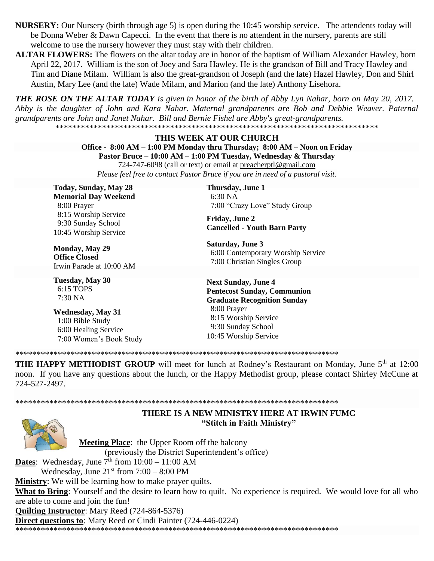**NURSERY:** Our Nursery (birth through age 5) is open during the 10:45 worship service. The attendents today will be Donna Weber & Dawn Capecci. In the event that there is no attendent in the nursery, parents are still welcome to use the nursery however they must stay with their children.

ALTAR FLOWERS: The flowers on the altar today are in honor of the baptism of William Alexander Hawley, born April 22, 2017. William is the son of Joey and Sara Hawley. He is the grandson of Bill and Tracy Hawley and Tim and Diane Milam. William is also the great-grandson of Joseph (and the late) Hazel Hawley, Don and Shirl Austin, Mary Lee (and the late) Wade Milam, and Marion (and the late) Anthony Lisehora.

**THE ROSE ON THE ALTAR TODAY** is given in honor of the birth of Abby Lyn Nahar, born on May 20, 2017. Abby is the daughter of John and Kara Nahar. Maternal grandparents are Bob and Debbie Weaver. Paternal grandparents are John and Janet Nahar. Bill and Bernie Fishel are Abby's great-grandparents. 

#### THIS WEEK AT OUR CHURCH

Office - 8:00 AM – 1:00 PM Monday thru Thursday; 8:00 AM – Noon on Friday

Pastor Bruce – 10:00 AM – 1:00 PM Tuesday, Wednesday & Thursday

724-747-6098 (call or text) or email at preacherptl@gmail.com Please feel free to contact Pastor Bruce if you are in need of a pastoral visit.

**Today, Sunday, May 28 Memorial Day Weekend** 8:00 Prayer 8:15 Worship Service 9:30 Sunday School 10:45 Worship Service

**Monday, May 29 Office Closed** Irwin Parade at 10:00 AM

**Tuesday, May 30** 6:15 TOPS  $7:30\,NA$ 

**Wednesday, May 31** 1:00 Bible Study 6:00 Healing Service 7:00 Women's Book Study Thursday, June 1  $6:30\text{ NA}$ 7:00 "Crazy Love" Study Group

**Friday, June 2 Cancelled - Youth Barn Party** 

**Saturday, June 3** 6:00 Contemporary Worship Service 7:00 Christian Singles Group

**Next Sunday, June 4 Pentecost Sunday, Communion Graduate Recognition Sunday** 8:00 Prayer 8:15 Worship Service 9:30 Sunday School 10:45 Worship Service

THE HAPPY METHODIST GROUP will meet for lunch at Rodney's Restaurant on Monday, June 5<sup>th</sup> at 12:00 noon. If you have any questions about the lunch, or the Happy Methodist group, please contact Shirley McCune at 724-527-2497.



THERE IS A NEW MINISTRY HERE AT IRWIN FUMC "Stitch in Faith Ministry"

**Meeting Place:** the Upper Room off the balcony (previously the District Superintendent's office)

**Dates:** Wednesday, June  $7^{\text{th}}$  from  $10:00 - 11:00$  AM

Wednesday, June  $21<sup>st</sup>$  from  $7:00 - 8:00$  PM

**Ministry:** We will be learning how to make prayer quilts.

What to Bring: Yourself and the desire to learn how to quilt. No experience is required. We would love for all who are able to come and join the fun!

**Quilting Instructor:** Mary Reed (724-864-5376)

**Direct questions to:** Mary Reed or Cindi Painter (724-446-0224)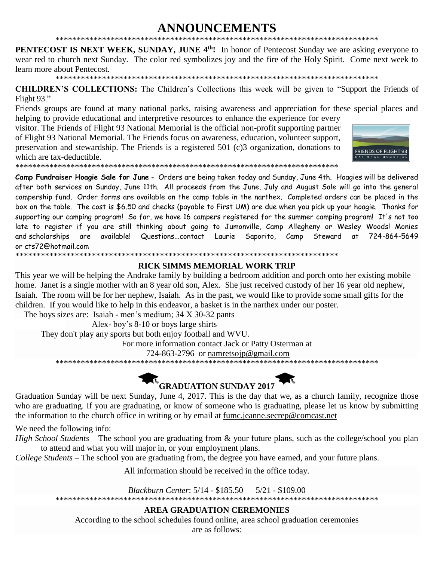#### **ANNOUNCEMENTS**

**PENTECOST IS NEXT WEEK, SUNDAY, JUNE 4th!** In honor of Pentecost Sunday we are asking everyone to wear red to church next Sunday. The color red symbolizes joy and the fire of the Holy Spirit. Come next week to learn more about Pentecost.

**CHILDREN'S COLLECTIONS:** The Children's Collections this week will be given to "Support the Friends of Flight 93."

Friends groups are found at many national parks, raising awareness and appreciation for these special places and helping to provide educational and interpretive resources to enhance the experience for every

visitor. The Friends of Flight 93 National Memorial is the official non-profit supporting partner of Flight 93 National Memorial. The Friends focus on awareness, education, volunteer support, preservation and stewardship. The Friends is a registered 501 (c)3 organization, donations to which are tax-deductible.



Camp Fundraiser Hoagie Sale for June - Orders are being taken today and Sunday, June 4th. Hoagies will be delivered after both services on Sunday, June 11th. All proceeds from the June, July and August Sale will go into the general campership fund. Order forms are available on the camp table in the narthex. Completed orders can be placed in the box on the table. The cost is \$6.50 and checks (payable to First UM) are due when you pick up your hoagie. Thanks for supporting our camping program! So far, we have 16 campers registered for the summer camping program! It's not too late to register if you are still thinking about going to Jumonville, Camp Allegheny or Wesley Woods! Monies and scholarships are available! Questions...contact Laurie Saporito, Camp Steward at 724-864-5649 or cts72@hotmail.com

#### **RICK SIMMS MEMORIAL WORK TRIP**

This year we will be helping the Andrake family by building a bedroom addition and porch onto her existing mobile home. Janet is a single mother with an 8 year old son, Alex. She just received custody of her 16 year old nephew, Isaiah. The room will be for her nephew, Isaiah. As in the past, we would like to provide some small gifts for the children. If you would like to help in this endeavor, a basket is in the narthex under our poster.

The boys sizes are: Isaiah - men's medium;  $34 \times 30-32$  pants

Alex-boy's 8-10 or boys large shirts

They don't play any sports but both enjoy football and WVU.

For more information contact Jack or Patty Osterman at

724-863-2796 or namretsoip@gmail.com

# **R**<br>GRADUATION SUNDAY 2017

Graduation Sunday will be next Sunday, June 4, 2017. This is the day that we, as a church family, recognize those who are graduating. If you are graduating, or know of someone who is graduating, please let us know by submitting the information to the church office in writing or by email at fume jeanne.secrep@comcast.net

We need the following info:

High School Students – The school you are graduating from & your future plans, such as the college/school you plan to attend and what you will major in, or your employment plans.

College Students – The school you are graduating from, the degree you have earned, and your future plans.

All information should be received in the office today.

Blackburn Center: 5/14 - \$185.50  $5/21 - $109.00$ 

#### **AREA GRADUATION CEREMONIES**

According to the school schedules found online, area school graduation ceremonies

are as follows: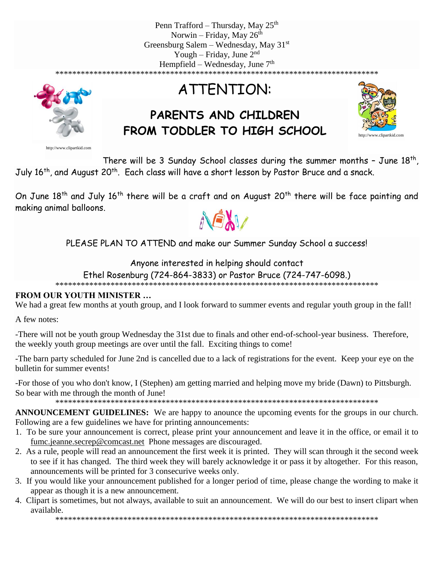Penn Trafford – Thursday, May  $25<sup>th</sup>$ Norwin – Friday, May  $26<sup>th</sup>$ Greensburg Salem – Wednesday, May  $31<sup>st</sup>$ Yough – Friday, June  $2<sup>nd</sup>$ Hempfield – Wednesday, June  $7<sup>th</sup>$ \*\*\*\*\*\*\*\*\*\*\*\*\*\*\*\*\*\*\*\*\*\*\*\*\*\*\*\*\*\*\*\*\*\*\*\*\*\*\*\*\*\*\*\*\*\*\*\*\*\*\*\*\*\*\*\*\*\*\*\*\*\*\*\*\*\*\*\*\*\*\*\*\*\*\*\*



http://www.clipartkid.com

ATTENTION:

# **PARENTS AND CHILDREN FROM TODDLER TO HIGH SCHOOL**



There will be 3 Sunday School classes during the summer months - June  $18<sup>th</sup>$ , July 16<sup>th</sup>, and August 20<sup>th</sup>. Each class will have a short lesson by Pastor Bruce and a snack.

On June 18<sup>th</sup> and July 16<sup>th</sup> there will be a craft and on August 20<sup>th</sup> there will be face painting and making animal balloons.



PLEASE PLAN TO ATTEND and make our Summer Sunday School a success!

## Anyone interested in helping should contact

Ethel Rosenburg (724-864-3833) or Pastor Bruce (724-747-6098.)

\*\*\*\*\*\*\*\*\*\*\*\*\*\*\*\*\*\*\*\*\*\*\*\*\*\*\*\*\*\*\*\*\*\*\*\*\*\*\*\*\*\*\*\*\*\*\*\*\*\*\*\*\*\*\*\*\*\*\*\*\*\*\*\*\*\*\*\*\*\*\*\*\*\*\*\*

## **FROM OUR YOUTH MINISTER …**

We had a great few months at youth group, and I look forward to summer events and regular youth group in the fall!

A few notes:

-There will not be youth group Wednesday the 31st due to finals and other end-of-school-year business. Therefore, the weekly youth group meetings are over until the fall. Exciting things to come!

-The barn party scheduled for June 2nd is cancelled due to a lack of registrations for the event. Keep your eye on the bulletin for summer events!

-For those of you who don't know, I (Stephen) am getting married and helping move my bride (Dawn) to Pittsburgh. So bear with me through the month of June!

\*\*\*\*\*\*\*\*\*\*\*\*\*\*\*\*\*\*\*\*\*\*\*\*\*\*\*\*\*\*\*\*\*\*\*\*\*\*\*\*\*\*\*\*\*\*\*\*\*\*\*\*\*\*\*\*\*\*\*\*\*\*\*\*\*\*\*\*\*\*\*\*\*\*\*\*

**ANNOUNCEMENT GUIDELINES:** We are happy to anounce the upcoming events for the groups in our church. Following are a few guidelines we have for printing announcements:

- 1. To be sure your announcement is correct, please print your announcement and leave it in the office, or email it to [fumc.jeanne.secrep@comcast.net](mailto:fumc.jeanne.secrep@comcast.net) Phone messages are discouraged.
- 2. As a rule, people will read an announcement the first week it is printed. They will scan through it the second week to see if it has changed. The third week they will barely acknowledge it or pass it by altogether. For this reason, announcements will be printed for 3 consecurive weeks only.
- 3. If you would like your announcement published for a longer period of time, please change the wording to make it appear as though it is a new announcement.
- 4. Clipart is sometimes, but not always, available to suit an announcement. We will do our best to insert clipart when available.

\*\*\*\*\*\*\*\*\*\*\*\*\*\*\*\*\*\*\*\*\*\*\*\*\*\*\*\*\*\*\*\*\*\*\*\*\*\*\*\*\*\*\*\*\*\*\*\*\*\*\*\*\*\*\*\*\*\*\*\*\*\*\*\*\*\*\*\*\*\*\*\*\*\*\*\*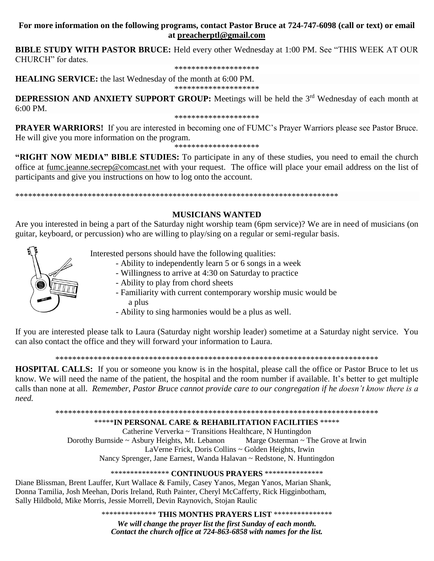### **For more information on the following programs, contact Pastor Bruce at 724-747-6098 (call or text) or email at [preacherptl@gmail.com](mailto:preacherptl@gmail.com)**

**BIBLE STUDY WITH PASTOR BRUCE:** Held every other Wednesday at 1:00 PM. See "THIS WEEK AT OUR CHURCH" for dates.

\*\*\*\*\*\*\*\*\*\*\*\*\*\*\*\*\*\*\*\*

**HEALING SERVICE:** the last Wednesday of the month at 6:00 PM.

\*\*\*\*\*\*\*\*\*\*\*\*\*\*\*\*\*\*\*\*

**DEPRESSION AND ANXIETY SUPPORT GROUP:** Meetings will be held the 3<sup>rd</sup> Wednesday of each month at 6:00 PM.

\*\*\*\*\*\*\*\*\*\*\*\*\*\*\*\*\*\*\*\*

**PRAYER WARRIORS!** If you are interested in becoming one of FUMC's Prayer Warriors please see Pastor Bruce. He will give you more information on the program.

\*\*\*\*\*\*\*\*\*\*\*\*\*\*\*\*\*\*\*\*

**"RIGHT NOW MEDIA" BIBLE STUDIES:** To participate in any of these studies, you need to email the church office at [fumc.jeanne.secrep@comcast.net](mailto:fumc.jeanne.secrep@comcast.net) with your request. The office will place your email address on the list of participants and give you instructions on how to log onto the account.

\*\*\*\*\*\*\*\*\*\*\*\*\*\*\*\*\*\*\*\*\*\*\*\*\*\*\*\*\*\*\*\*\*\*\*\*\*\*\*\*\*\*\*\*\*\*\*\*\*\*\*\*\*\*\*\*\*\*\*\*\*\*\*\*\*\*\*\*\*\*\*\*\*\*\*\*

## **MUSICIANS WANTED**

Are you interested in being a part of the Saturday night worship team (6pm service)? We are in need of musicians (on guitar, keyboard, or percussion) who are willing to play/sing on a regular or semi-regular basis.



- Interested persons should have the following qualities:
	- Ability to independently learn 5 or 6 songs in a week
	- Willingness to arrive at 4:30 on Saturday to practice
	- Ability to play from chord sheets
	- Familiarity with current contemporary worship music would be a plus
	- Ability to sing harmonies would be a plus as well.

If you are interested please talk to Laura (Saturday night worship leader) sometime at a Saturday night service. You can also contact the office and they will forward your information to Laura.

\*\*\*\*\*\*\*\*\*\*\*\*\*\*\*\*\*\*\*\*\*\*\*\*\*\*\*\*\*\*\*\*\*\*\*\*\*\*\*\*\*\*\*\*\*\*\*\*\*\*\*\*\*\*\*\*\*\*\*\*\*\*\*\*\*\*\*\*\*\*\*\*\*\*\*\*

**HOSPITAL CALLS:** If you or someone you know is in the hospital, please call the office or Pastor Bruce to let us know. We will need the name of the patient, the hospital and the room number if available. It's better to get multiple calls than none at all. *Remember, Pastor Bruce cannot provide care to our congregation if he doesn't know there is a need.*

\*\*\*\*\*\*\*\*\*\*\*\*\*\*\*\*\*\*\*\*\*\*\*\*\*\*\*\*\*\*\*\*\*\*\*\*\*\*\*\*\*\*\*\*\*\*\*\*\*\*\*\*\*\*\*\*\*\*\*\*\*\*\*\*\*\*\*\*\*\*\*\*\*\*\*\*

\*\*\*\*\***IN PERSONAL CARE & REHABILITATION FACILITIES** \*\*\*\*\*

Catherine Ververka ~ Transitions Healthcare, N Huntingdon Dorothy Burnside ~ Asbury Heights, Mt. Lebanon Marge Osterman ~ The Grove at Irwin LaVerne Frick, Doris Collins ~ Golden Heights, Irwin Nancy Sprenger, Jane Earnest, Wanda Halavan ~ Redstone, N. Huntingdon

\*\*\*\*\*\*\*\*\*\*\*\*\*\*\* **CONTINUOUS PRAYERS** \*\*\*\*\*\*\*\*\*\*\*\*\*\*\*

Diane Blissman, Brent Lauffer, Kurt Wallace & Family, Casey Yanos, Megan Yanos, Marian Shank, Donna Tamilia, Josh Meehan, Doris Ireland, Ruth Painter, Cheryl McCafferty, Rick Higginbotham, Sally Hildbold, Mike Morris, Jessie Morrell, Devin Raynovich, Stojan Raulic

\*\*\*\*\*\*\*\*\*\*\*\*\*\* **THIS MONTHS PRAYERS LIST** \*\*\*\*\*\*\*\*\*\*\*\*\*\*\*

*We will change the prayer list the first Sunday of each month. Contact the church office at 724-863-6858 with names for the list.*